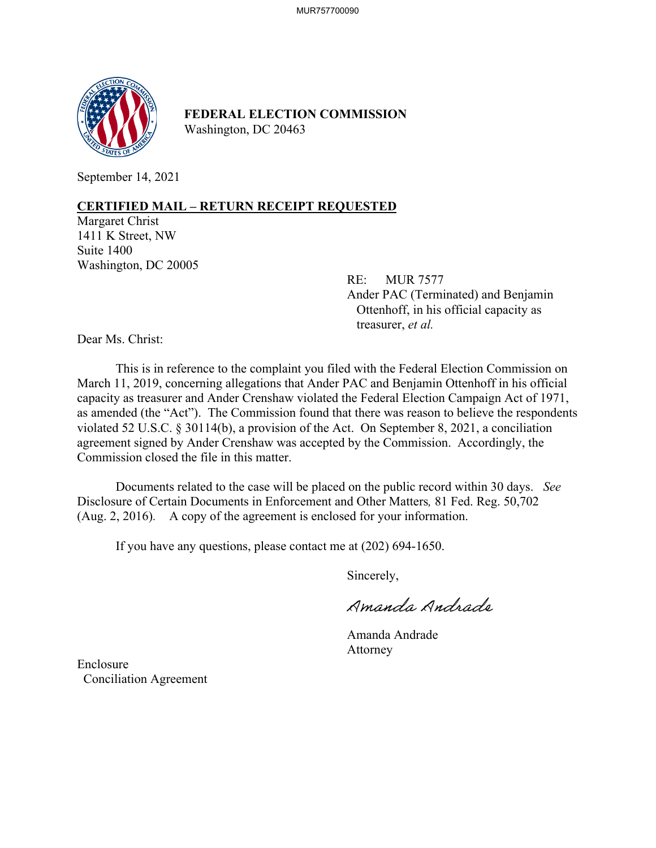

**FEDERAL ELECTION COMMISSION** Washington, DC 20463

September 14, 2021

## **CERTIFIED MAIL – RETURN RECEIPT REQUESTED**

Margaret Christ 1411 K Street, NW Suite 1400 Washington, DC 20005

> RE: MUR 7577 Ander PAC (Terminated) and Benjamin Ottenhoff, in his official capacity as treasurer, *et al.*

Dear Ms. Christ:

This is in reference to the complaint you filed with the Federal Election Commission on March 11, 2019, concerning allegations that Ander PAC and Benjamin Ottenhoff in his official capacity as treasurer and Ander Crenshaw violated the Federal Election Campaign Act of 1971, as amended (the "Act"). The Commission found that there was reason to believe the respondents violated 52 U.S.C. § 30114(b), a provision of the Act. On September 8, 2021, a conciliation agreement signed by Ander Crenshaw was accepted by the Commission. Accordingly, the Commission closed the file in this matter.

Documents related to the case will be placed on the public record within 30 days. *See*  Disclosure of Certain Documents in Enforcement and Other Matters*,* 81 Fed. Reg. 50,702 (Aug. 2, 2016). A copy of the agreement is enclosed for your information.

If you have any questions, please contact me at (202) 694-1650.

Sincerely,

Amanda Andrade

 Amanda Andrade Attorney

Enclosure Conciliation Agreement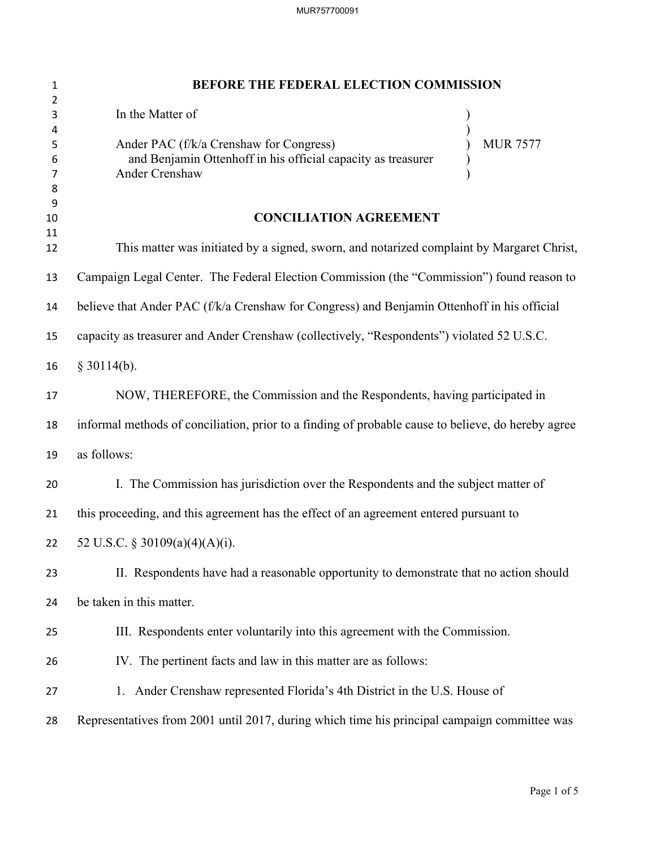| $\mathbf{1}$          | BEFORE THE FEDERAL ELECTION COMMISSION                                                                                                       |
|-----------------------|----------------------------------------------------------------------------------------------------------------------------------------------|
| 2<br>3                | In the Matter of                                                                                                                             |
| 4<br>5<br>6<br>7<br>8 | <b>MUR 7577</b><br>Ander PAC (f/k/a Crenshaw for Congress)<br>and Benjamin Ottenhoff in his official capacity as treasurer<br>Ander Crenshaw |
| 9<br>10               | <b>CONCILIATION AGREEMENT</b>                                                                                                                |
| 11<br>12              | This matter was initiated by a signed, sworn, and notarized complaint by Margaret Christ,                                                    |
| 13                    | Campaign Legal Center. The Federal Election Commission (the "Commission") found reason to                                                    |
| 14                    | believe that Ander PAC (f/k/a Crenshaw for Congress) and Benjamin Ottenhoff in his official                                                  |
| 15                    | capacity as treasurer and Ander Crenshaw (collectively, "Respondents") violated 52 U.S.C.                                                    |
| 16                    | $§$ 30114(b).                                                                                                                                |
| 17                    | NOW, THEREFORE, the Commission and the Respondents, having participated in                                                                   |
| 18                    | informal methods of conciliation, prior to a finding of probable cause to believe, do hereby agree                                           |
| 19                    | as follows:                                                                                                                                  |
| 20                    | I. The Commission has jurisdiction over the Respondents and the subject matter of                                                            |
| 21                    | this proceeding, and this agreement has the effect of an agreement entered pursuant to                                                       |
| 22                    | 52 U.S.C. § 30109(a)(4)(A)(i).                                                                                                               |
| 23                    | II. Respondents have had a reasonable opportunity to demonstrate that no action should                                                       |
| 24                    | be taken in this matter.                                                                                                                     |
| 25                    | III. Respondents enter voluntarily into this agreement with the Commission.                                                                  |
| 26                    | IV. The pertinent facts and law in this matter are as follows:                                                                               |
| 27                    | 1. Ander Crenshaw represented Florida's 4th District in the U.S. House of                                                                    |
| 28                    | Representatives from 2001 until 2017, during which time his principal campaign committee was                                                 |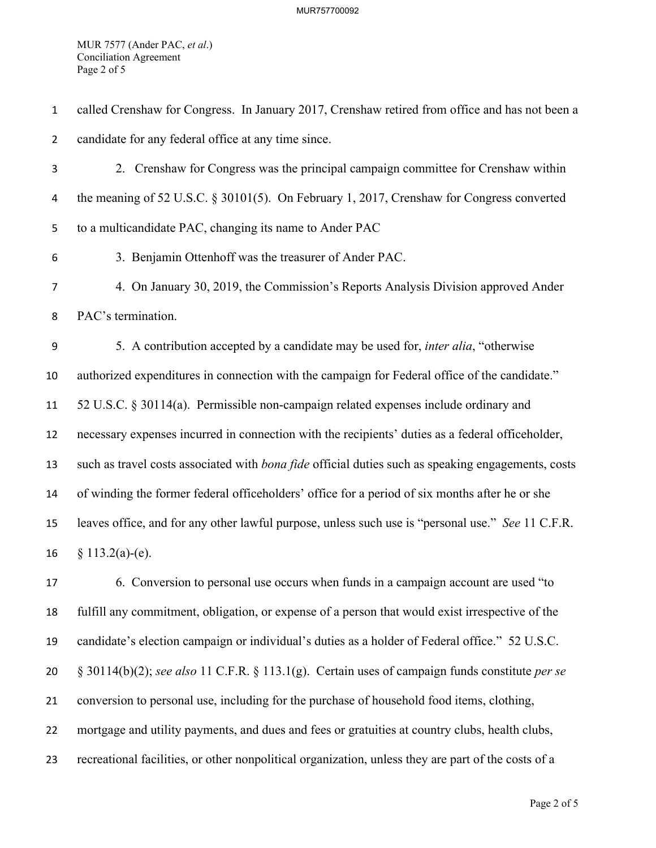MUR 7577 (Ander PAC, *et al*.) Conciliation Agreement Page 2 of 5

| $\mathbf{1}$   | called Crenshaw for Congress. In January 2017, Crenshaw retired from office and has not been a            |
|----------------|-----------------------------------------------------------------------------------------------------------|
| $\overline{2}$ | candidate for any federal office at any time since.                                                       |
| 3              | 2. Crenshaw for Congress was the principal campaign committee for Crenshaw within                         |
| 4              | the meaning of 52 U.S.C. $\S 30101(5)$ . On February 1, 2017, Crenshaw for Congress converted             |
| 5              | to a multicandidate PAC, changing its name to Ander PAC                                                   |
| 6              | 3. Benjamin Ottenhoff was the treasurer of Ander PAC.                                                     |
| $\overline{7}$ | 4. On January 30, 2019, the Commission's Reports Analysis Division approved Ander                         |
| 8              | PAC's termination.                                                                                        |
| 9              | 5. A contribution accepted by a candidate may be used for, <i>inter alia</i> , "otherwise                 |
| 10             | authorized expenditures in connection with the campaign for Federal office of the candidate."             |
| 11             | 52 U.S.C. § 30114(a). Permissible non-campaign related expenses include ordinary and                      |
| 12             | necessary expenses incurred in connection with the recipients' duties as a federal officeholder,          |
| 13             | such as travel costs associated with <i>bona fide</i> official duties such as speaking engagements, costs |
| 14             | of winding the former federal officeholders' office for a period of six months after he or she            |
| 15             | leaves office, and for any other lawful purpose, unless such use is "personal use." See 11 C.F.R.         |
| 16             | $§ 113.2(a)-(e).$                                                                                         |
| 17             | 6. Conversion to personal use occurs when funds in a campaign account are used "to                        |
| 18             | fulfill any commitment, obligation, or expense of a person that would exist irrespective of the           |

candidate's election campaign or individual's duties as a holder of Federal office." 52 U.S.C.

§ 30114(b)(2); *see also* 11 C.F.R. § 113.1(g). Certain uses of campaign funds constitute *per se*

conversion to personal use, including for the purchase of household food items, clothing,

mortgage and utility payments, and dues and fees or gratuities at country clubs, health clubs,

recreational facilities, or other nonpolitical organization, unless they are part of the costs of a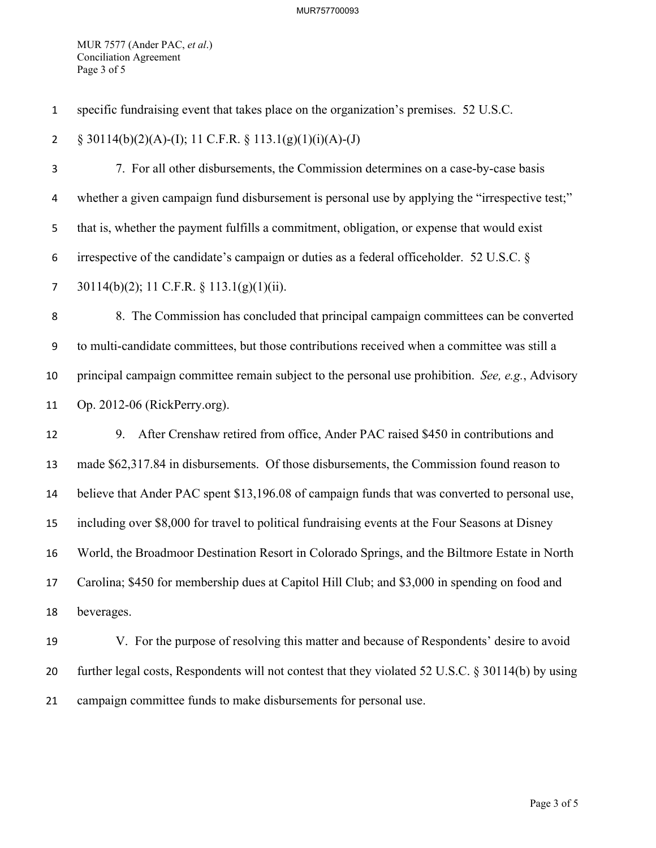MUR 7577 (Ander PAC, *et al*.) Conciliation Agreement Page 3 of 5

specific fundraising event that takes place on the organization's premises. 52 U.S.C.

2  $\S$  30114(b)(2)(A)-(I); 11 C.F.R.  $\S$  113.1(g)(1)(i)(A)-(J)

7. For all other disbursements, the Commission determines on a case-by-case basis whether a given campaign fund disbursement is personal use by applying the "irrespective test;" that is, whether the payment fulfills a commitment, obligation, or expense that would exist irrespective of the candidate's campaign or duties as a federal officeholder. 52 U.S.C. § 30114(b)(2); 11 C.F.R. § 113.1(g)(1)(ii).

8. The Commission has concluded that principal campaign committees can be converted to multi-candidate committees, but those contributions received when a committee was still a principal campaign committee remain subject to the personal use prohibition. *See, e.g.*, Advisory Op. 2012-06 (RickPerry.org).

 9. After Crenshaw retired from office, Ander PAC raised \$450 in contributions and made \$62,317.84 in disbursements. Of those disbursements, the Commission found reason to believe that Ander PAC spent \$13,196.08 of campaign funds that was converted to personal use, including over \$8,000 for travel to political fundraising events at the Four Seasons at Disney World, the Broadmoor Destination Resort in Colorado Springs, and the Biltmore Estate in North Carolina; \$450 for membership dues at Capitol Hill Club; and \$3,000 in spending on food and beverages.

 V. For the purpose of resolving this matter and because of Respondents' desire to avoid further legal costs, Respondents will not contest that they violated 52 U.S.C. § 30114(b) by using campaign committee funds to make disbursements for personal use.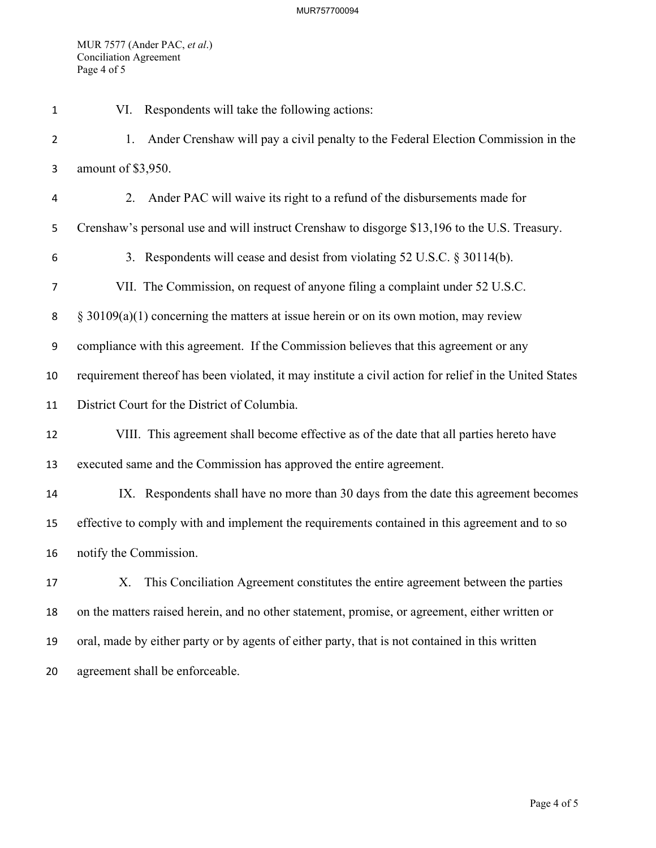MUR 7577 (Ander PAC, *et al*.) Conciliation Agreement Page 4 of 5

| $\mathbf 1$    | Respondents will take the following actions:<br>VI.                                                    |
|----------------|--------------------------------------------------------------------------------------------------------|
| $\overline{2}$ | Ander Crenshaw will pay a civil penalty to the Federal Election Commission in the<br>1.                |
| 3              | amount of \$3,950.                                                                                     |
| 4              | Ander PAC will waive its right to a refund of the disbursements made for<br>2.                         |
| 5              | Crenshaw's personal use and will instruct Crenshaw to disgorge \$13,196 to the U.S. Treasury.          |
| 6              | 3. Respondents will cease and desist from violating 52 U.S.C. § 30114(b).                              |
| 7              | VII. The Commission, on request of anyone filing a complaint under 52 U.S.C.                           |
| 8              | $\S$ 30109(a)(1) concerning the matters at issue herein or on its own motion, may review               |
| 9              | compliance with this agreement. If the Commission believes that this agreement or any                  |
| 10             | requirement thereof has been violated, it may institute a civil action for relief in the United States |
| 11             | District Court for the District of Columbia.                                                           |
| 12             | VIII. This agreement shall become effective as of the date that all parties hereto have                |
| 13             | executed same and the Commission has approved the entire agreement.                                    |
| 14             | IX. Respondents shall have no more than 30 days from the date this agreement becomes                   |
| 15             | effective to comply with and implement the requirements contained in this agreement and to so          |
| 16             | notify the Commission.                                                                                 |
| 17             | X. This Conciliation Agreement constitutes the entire agreement between the parties                    |
| 18             | on the matters raised herein, and no other statement, promise, or agreement, either written or         |
| 19             | oral, made by either party or by agents of either party, that is not contained in this written         |
| 20             | agreement shall be enforceable.                                                                        |